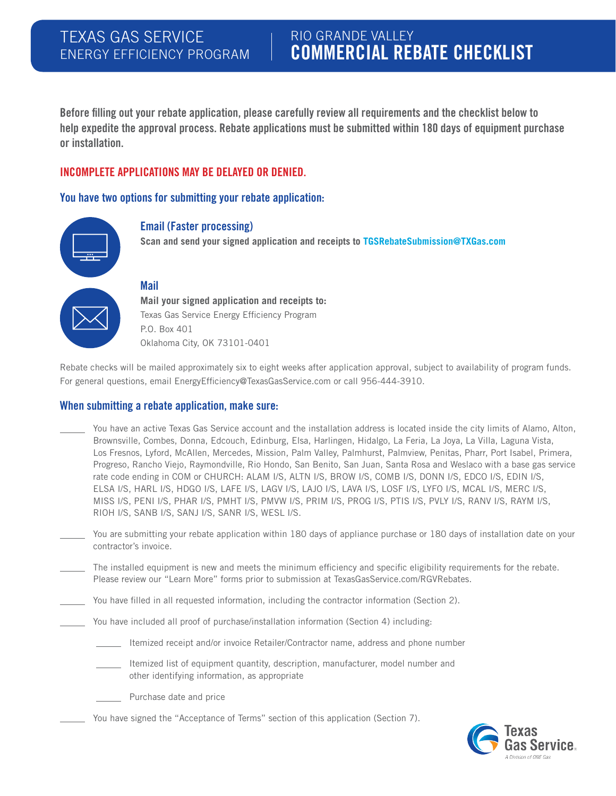# RIO GRANDE VALLEY COMMERCIAL REBATE CHECKLIST

Before filling out your rebate application, please carefully review all requirements and the checklist below to help expedite the approval process. Rebate applications must be submitted within 180 days of equipment purchase or installation.

#### INCOMPLETE APPLICATIONS MAY BE DELAYED OR DENIED.

You have two options for submitting your rebate application:



#### Email (Faster processing)

**Scan and send your signed application and receipts to TGSRebateSubmission@TXGas.com**

#### Mail

**Mail your signed application and receipts to:**  Texas Gas Service Energy Efficiency Program P.O. Box 401 Oklahoma City, OK 73101-0401

Rebate checks will be mailed approximately six to eight weeks after application approval, subject to availability of program funds. For general questions, email EnergyEfficiency@TexasGasService.com or call 956-444-3910.

#### When submitting a rebate application, make sure:

- You have an active Texas Gas Service account and the installation address is located inside the city limits of Alamo, Alton, Brownsville, Combes, Donna, Edcouch, Edinburg, Elsa, Harlingen, Hidalgo, La Feria, La Joya, La Villa, Laguna Vista, Los Fresnos, Lyford, McAllen, Mercedes, Mission, Palm Valley, Palmhurst, Palmview, Penitas, Pharr, Port Isabel, Primera, Progreso, Rancho Viejo, Raymondville, Rio Hondo, San Benito, San Juan, Santa Rosa and Weslaco with a base gas service rate code ending in COM or CHURCH: ALAM I/S, ALTN I/S, BROW I/S, COMB I/S, DONN I/S, EDCO I/S, EDIN I/S, ELSA I/S, HARL I/S, HDGO I/S, LAFE I/S, LAGV I/S, LAJO I/S, LAVA I/S, LOSF I/S, LYFO I/S, MCAL I/S, MERC I/S, MISS I/S, PENI I/S, PHAR I/S, PMHT I/S, PMVW I/S, PRIM I/S, PROG I/S, PTIS I/S, PVLY I/S, RANV I/S, RAYM I/S, RIOH I/S, SANB I/S, SANJ I/S, SANR I/S, WESL I/S.
- You are submitting your rebate application within 180 days of appliance purchase or 180 days of installation date on your contractor's invoice.
- The installed equipment is new and meets the minimum efficiency and specific eligibility requirements for the rebate. Please review our "Learn More" forms prior to submission at TexasGasService.com/RGVRebates.
- You have filled in all requested information, including the contractor information (Section 2).
	- You have included all proof of purchase/installation information (Section 4) including:
		- Itemized receipt and/or invoice Retailer/Contractor name, address and phone number
		- Itemized list of equipment quantity, description, manufacturer, model number and other identifying information, as appropriate
		- Purchase date and price
		- You have signed the "Acceptance of Terms" section of this application (Section 7).

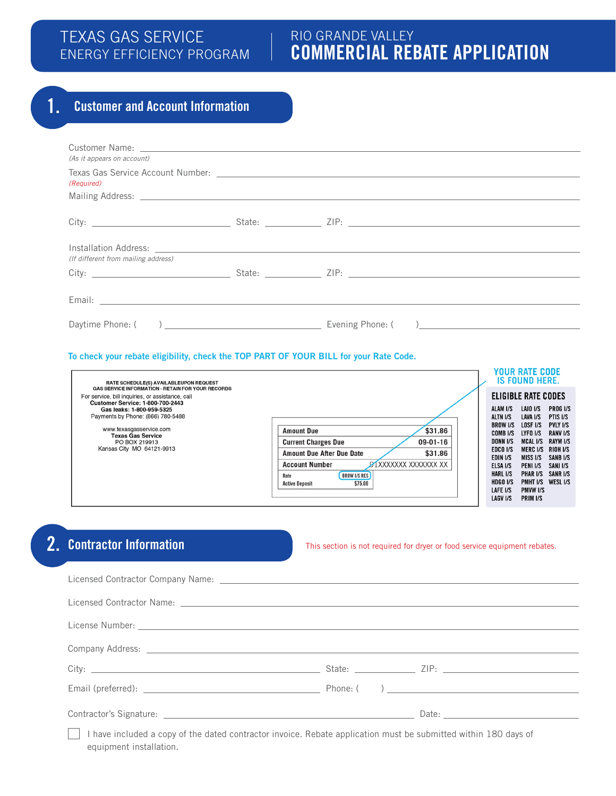# TEXAS GAS SERVICE ENERGY EFFICIENCY PROGRAM

# RIO GRANDE VALLEY COMMERCIAL REBATE APPLICATION

# 1. Customer and Account Information

| (As it appears on account)          |  |  |
|-------------------------------------|--|--|
| (Required)                          |  |  |
|                                     |  |  |
|                                     |  |  |
|                                     |  |  |
|                                     |  |  |
|                                     |  |  |
| (If different from mailing address) |  |  |
|                                     |  |  |
|                                     |  |  |
|                                     |  |  |
|                                     |  |  |
|                                     |  |  |
|                                     |  |  |

#### To check your rebate eligibility, check the TOP PART OF YOUR BILL for your Rate Code.

| RATE SCHEDULE(S) AVAILABLEUPON REQUEST                                                                                                                                                                                                                                                                                                                                                                                                                                                                                                        |                                                                                                                                                      | YOUR RATE CODE<br><b>IS FOUND HERE.</b>                                                                                         |                                                                                                                                      |
|-----------------------------------------------------------------------------------------------------------------------------------------------------------------------------------------------------------------------------------------------------------------------------------------------------------------------------------------------------------------------------------------------------------------------------------------------------------------------------------------------------------------------------------------------|------------------------------------------------------------------------------------------------------------------------------------------------------|---------------------------------------------------------------------------------------------------------------------------------|--------------------------------------------------------------------------------------------------------------------------------------|
| <b>GAS SERVICE INFORMATION - RETAIN FOR YOUR RECORDS</b><br>For service, bill inquiries, or assistance, call<br><b>Customer Service: 1-800-700-2443</b><br>Gas leaks: 1-800-959-5325<br>Payments by Phone: (866) 780-5488<br>www.texasgasservice.com<br>\$31.86<br><b>Amount Due</b><br><b>Texas Gas Service</b><br>$09 - 01 - 16$<br><b>Current Charges Due</b><br>PO BOX 219913<br>Kansas City MO 64121-9913<br>\$31.86<br><b>Amount Due After Due Date</b><br>SIXXXXXXX XXXXXXX XX<br><b>Account Number</b><br><b>BROW I/S RES</b><br>Rate | ELIGIBLE RATE CODES<br>ALAM I/S<br>ALTN I/S<br><b>BROW I/S</b><br>COMB I/S<br><b>DONN I/S</b><br>EDCO I/S<br>EDIN I/S<br>ELSA I/S<br><b>HARL I/S</b> | LAJO I/S<br>LAVA I/S<br>LOSF I/S<br>LYFO I/S<br>MCAL I/S<br>MERC I/S RIOH I/S<br><b>MISS I/S</b><br>PENI I/S<br><b>PHAR I/S</b> | <b>PROGI/S</b><br>PTIS I/S<br><b>PVLY I/S</b><br><b>RANVI/S</b><br><b>RAYM I/S</b><br><b>SANB I/S</b><br>SANJ I/S<br><b>SANR I/S</b> |
| \$75.00<br><b>Active Deposit</b>                                                                                                                                                                                                                                                                                                                                                                                                                                                                                                              | <b>HDGO I/S</b><br>LAFE I/S<br><b>LAGV I/S</b>                                                                                                       | <b>PMHT I/S</b><br><b>PMVW I/S</b><br><b>PRIM I/S</b>                                                                           | WESL <sub>I/S</sub>                                                                                                                  |

# 2. Contractor Information

This section is not required for dryer or food service equipment rebates.

| Company Address: company Address: company Address: company Address: company Address: company Address: company Address: company Address: company Address: company Address: company Address: company Address: company Address: c |
|--------------------------------------------------------------------------------------------------------------------------------------------------------------------------------------------------------------------------------|
|                                                                                                                                                                                                                                |
|                                                                                                                                                                                                                                |
|                                                                                                                                                                                                                                |
|                                                                                                                                                                                                                                |

 I have included a copy of the dated contractor invoice. Rebate application must be submitted within 180 days of equipment installation.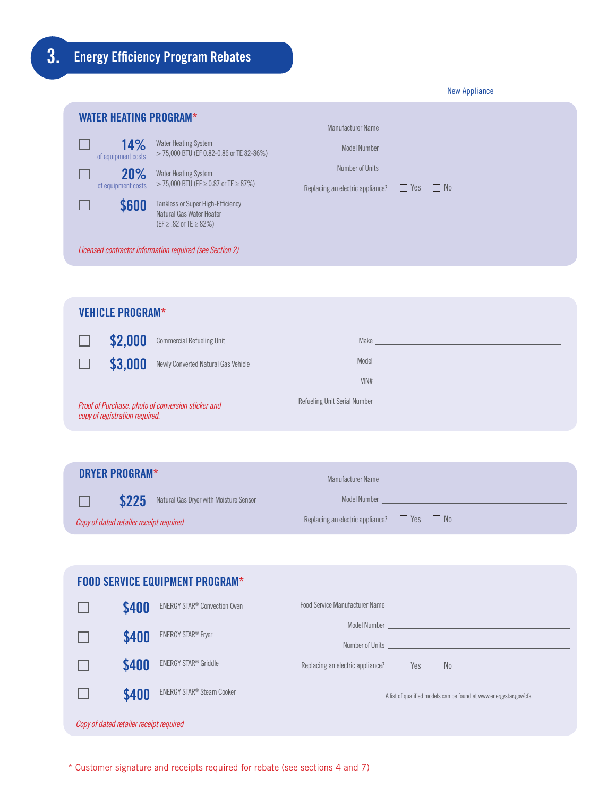|  | New Appliance |
|--|---------------|
|  |               |

| <b>WATER HEATING PROGRAM*</b><br>Manufacturer Name<br><u> 1989 - Johann Barn, mars ann an t-Amhain an t-Amhain an t-Amhain an t-Amhain an t-Amhain an t-Amhain an t-Amh</u> |                                                                                         |                                                                          |  |
|-----------------------------------------------------------------------------------------------------------------------------------------------------------------------------|-----------------------------------------------------------------------------------------|--------------------------------------------------------------------------|--|
| 14%<br>of equipment costs                                                                                                                                                   | Water Heating System<br>> 75,000 BTU (EF 0.82-0.86 or TE 82-86%)                        |                                                                          |  |
| 20%<br>of equipment costs                                                                                                                                                   | Water Heating System<br>> 75,000 BTU (EF ≥ 0.87 or TE ≥ 87%)                            | Number of Units<br>Replacing an electric appliance? $\Box$ Yes $\Box$ No |  |
| \$600                                                                                                                                                                       | Tankless or Super High-Efficiency<br>Natural Gas Water Heater<br>(EF ≥ .82 or TE ≥ 82%) |                                                                          |  |
|                                                                                                                                                                             | Licensed contractor information required (see Section 2)                                |                                                                          |  |
|                                                                                                                                                                             |                                                                                         |                                                                          |  |
| <b>VEHICLE PROGRAM*</b>                                                                                                                                                     |                                                                                         |                                                                          |  |

|                                                                                      | \$2,000 | <b>Commercial Refueling Unit</b>    | Make                                             |
|--------------------------------------------------------------------------------------|---------|-------------------------------------|--------------------------------------------------|
|                                                                                      | \$3,000 | Newly Converted Natural Gas Vehicle | Model                                            |
|                                                                                      |         |                                     | VIN#                                             |
| Proof of Purchase, photo of conversion sticker and<br>copy of registration required. |         |                                     | <b>Refueling Unit Serial Number Example 2014</b> |

| DRYER PROGRAM*                          |                                              | Manufacturer Name                                     |
|-----------------------------------------|----------------------------------------------|-------------------------------------------------------|
|                                         | \$225 Natural Gas Dryer with Moisture Sensor | Model Number                                          |
| Copy of dated retailer receipt required |                                              | Replacing an electric appliance? $\Box$ Yes $\Box$ No |

| <b>FOOD SERVICE EQUIPMENT PROGRAM*</b>  |       |                                          |                                                       |  |                                                                                                                                                                                                                                      |
|-----------------------------------------|-------|------------------------------------------|-------------------------------------------------------|--|--------------------------------------------------------------------------------------------------------------------------------------------------------------------------------------------------------------------------------------|
|                                         | \$400 | ENERGY STAR <sup>®</sup> Convection Oven |                                                       |  | Food Service Manufacturer Name Party and Contract Contract Contract Contract Contract Contract Contract Contract Contract Contract Contract Contract Contract Contract Contract Contract Contract Contract Contract Contract C       |
|                                         | \$400 | <b>ENERGY STAR<sup>®</sup> Fryer</b>     |                                                       |  | Model Number <u>experience and the series of the series of the series of the series of the series of the series of the series of the series of the series of the series of the series of the series of the series of the series </u> |
|                                         | \$400 | ENERGY STAR <sup>®</sup> Griddle         | Replacing an electric appliance? $\Box$ Yes $\Box$ No |  |                                                                                                                                                                                                                                      |
|                                         | \$400 | ENERGY STAR <sup>®</sup> Steam Cooker    |                                                       |  | A list of qualified models can be found at www.energystar.gov/cfs.                                                                                                                                                                   |
| Copy of dated retailer receipt required |       |                                          |                                                       |  |                                                                                                                                                                                                                                      |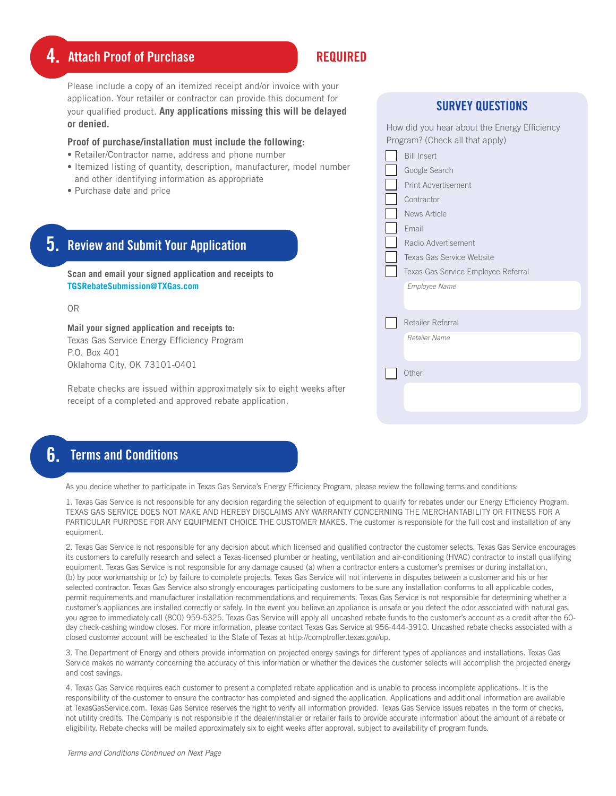# 4. Attach Proof of Purchase Required REQUIRED

Please include a copy of an itemized receipt and/or invoice with your application. Your retailer or contractor can provide this document for your qualified product. **Any applications missing this will be delayed or denied.**

#### **Proof of purchase/installation must include the following:**

- Retailer/Contractor name, address and phone number
- Itemized listing of quantity, description, manufacturer, model and other identifying information as appropriate
- Purchase date and price

|         | How did you hear about the Energy Efficiency<br>Program? (Check all that apply)                                                                       |
|---------|-------------------------------------------------------------------------------------------------------------------------------------------------------|
| number  | <b>Bill Insert</b><br>Google Search<br>Print Advertisement<br>Contractor<br>News Article<br>Email<br>Radio Advertisement<br>Texas Gas Service Website |
|         | Texas Gas Service Employee Referral<br>Employee Name                                                                                                  |
|         | Retailer Referral<br>Retailer Name<br>Other                                                                                                           |
| s after |                                                                                                                                                       |

SURVEY QUESTIONS

### OR

**TGSRebateSubmission@TXGas.com**

5. Review and Submit Your Application

**Scan and email your signed application and receipts to** 

**Mail your signed application and receipts to:** Texas Gas Service Energy Efficiency Program P.O. Box 401 Oklahoma City, OK 73101-0401

Rebate checks are issued within approximately six to eight weeks receipt of a completed and approved rebate application.

## 6. Terms and Conditions

As you decide whether to participate in Texas Gas Service's Energy Efficiency Program, please review the following terms and conditions:

1. Texas Gas Service is not responsible for any decision regarding the selection of equipment to qualify for rebates under our Energy Efficiency Program. TEXAS GAS SERVICE DOES NOT MAKE AND HEREBY DISCLAIMS ANY WARRANTY CONCERNING THE MERCHANTABILITY OR FITNESS FOR A PARTICULAR PURPOSE FOR ANY EQUIPMENT CHOICE THE CUSTOMER MAKES. The customer is responsible for the full cost and installation of any equipment.

2. Texas Gas Service is not responsible for any decision about which licensed and qualified contractor the customer selects. Texas Gas Service encourages its customers to carefully research and select a Texas-licensed plumber or heating, ventilation and air-conditioning (HVAC) contractor to install qualifying equipment. Texas Gas Service is not responsible for any damage caused (a) when a contractor enters a customer's premises or during installation, (b) by poor workmanship or (c) by failure to complete projects. Texas Gas Service will not intervene in disputes between a customer and his or her selected contractor. Texas Gas Service also strongly encourages participating customers to be sure any installation conforms to all applicable codes, permit requirements and manufacturer installation recommendations and requirements. Texas Gas Service is not responsible for determining whether a customer's appliances are installed correctly or safely. In the event you believe an appliance is unsafe or you detect the odor associated with natural gas, you agree to immediately call (800) 959-5325. Texas Gas Service will apply all uncashed rebate funds to the customer's account as a credit after the 60 day check-cashing window closes. For more information, please contact Texas Gas Service at 956-444-3910. Uncashed rebate checks associated with a closed customer account will be escheated to the State of Texas at http://comptroller.texas.gov/up.

3. The Department of Energy and others provide information on projected energy savings for different types of appliances and installations. Texas Gas Service makes no warranty concerning the accuracy of this information or whether the devices the customer selects will accomplish the projected energy and cost savings.

4. Texas Gas Service requires each customer to present a completed rebate application and is unable to process incomplete applications. It is the responsibility of the customer to ensure the contractor has completed and signed the application. Applications and additional information are available at TexasGasService.com. Texas Gas Service reserves the right to verify all information provided. Texas Gas Service issues rebates in the form of checks, not utility credits. The Company is not responsible if the dealer/installer or retailer fails to provide accurate information about the amount of a rebate or eligibility. Rebate checks will be mailed approximately six to eight weeks after approval, subject to availability of program funds.